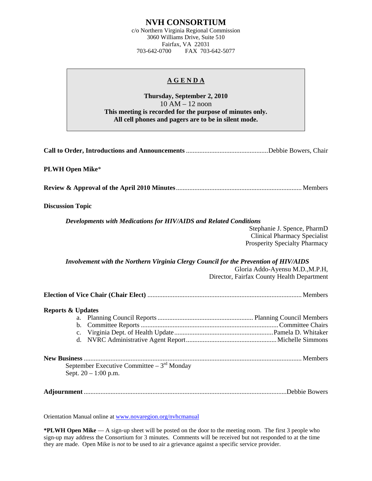# **NVH CONSORTIUM**

c/o Northern Virginia Regional Commission 3060 Williams Drive, Suite 510 Fairfax, VA 22031 703-642-0700 FAX 703-642-5077

## **A G E N D A**

**Thursday, September 2, 2010**  10 AM – 12 noon **This meeting is recorded for the purpose of minutes only. All cell phones and pagers are to be in silent mode.** 

**Call to Order, Introductions and Announcements** .................................................Debbie Bowers, Chair

## **PLWH Open Mike**\*

**Review & Approval of the April 2010 Minutes**........................................................................... Members

#### **Discussion Topic**

*Developments with Medications for HIV/AIDS and Related Conditions* 

Stephanie J. Spence, PharmD Clinical Pharmacy Specialist Prosperity Specialty Pharmacy

*Involvement with the Northern Virginia Clergy Council for the Prevention of HIV/AIDS*  Gloria Addo-Ayensu M.D.,M.P.H, Director, Fairfax County Health Department

**Election of Vice Chair (Chair Elect)** ............................................................................................ Members

### **Reports & Updates**

| September Executive Committee $-3^{rd}$ Monday<br>Sept. $20 - 1:00$ p.m. |  |
|--------------------------------------------------------------------------|--|

**Adjournment** .........................................................................................................................Debbie Bowers

Orientation Manual online at [www.novaregion.org/nvhcmanual](http://www.novaregion.org/nvhcmanual)

**\*PLWH Open Mike** — A sign-up sheet will be posted on the door to the meeting room. The first 3 people who sign-up may address the Consortium for 3 minutes. Comments will be received but not responded to at the time they are made. Open Mike is *not* to be used to air a grievance against a specific service provider.